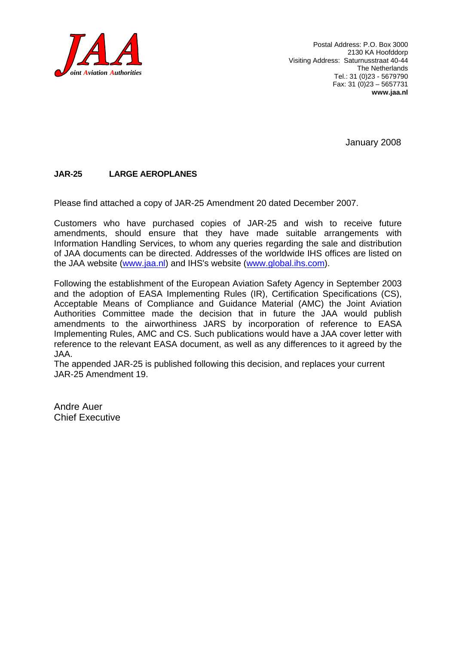

January 2008

#### **JAR-25 LARGE AEROPLANES**

Please find attached a copy of JAR-25 Amendment 20 dated December 2007.

Customers who have purchased copies of JAR-25 and wish to receive future amendments, should ensure that they have made suitable arrangements with Information Handling Services, to whom any queries regarding the sale and distribution of JAA documents can be directed. Addresses of the worldwide IHS offices are listed on the JAA website (www.jaa.nl) and IHS's website (www.global.ihs.com).

Following the establishment of the European Aviation Safety Agency in September 2003 and the adoption of EASA Implementing Rules (IR), Certification Specifications (CS), Acceptable Means of Compliance and Guidance Material (AMC) the Joint Aviation Authorities Committee made the decision that in future the JAA would publish amendments to the airworthiness JARS by incorporation of reference to EASA Implementing Rules, AMC and CS. Such publications would have a JAA cover letter with reference to the relevant EASA document, as well as any differences to it agreed by the JAA.

The appended JAR-25 is published following this decision, and replaces your current JAR-25 Amendment 19.

Andre Auer Chief Executive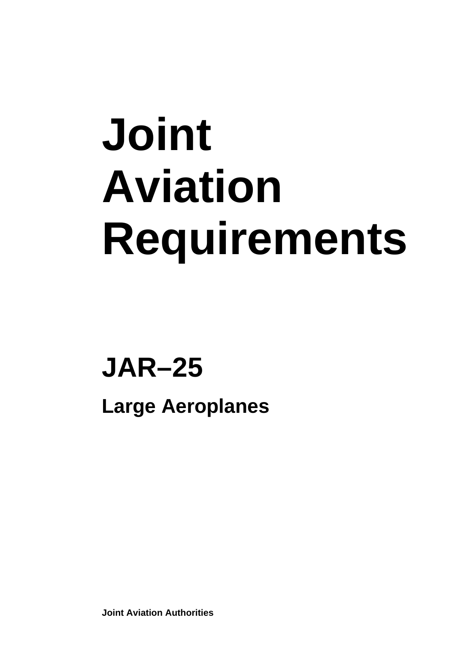# **Joint Aviation Requirements**

## **JAR–25**

**Large Aeroplanes** 

**Joint Aviation Authorities**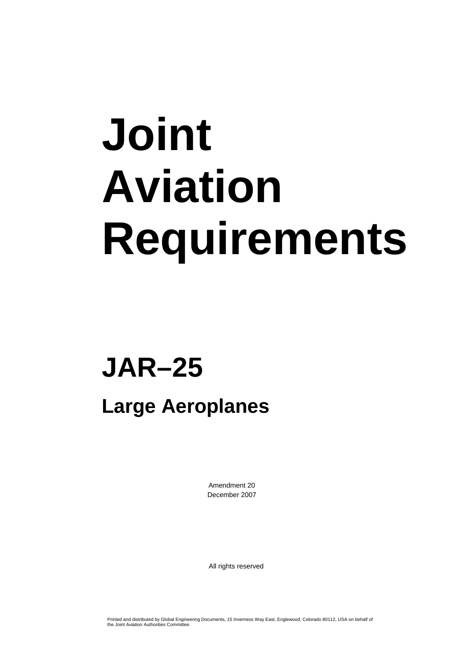# **Joint Aviation Requirements**

### **JAR–25**

### **Large Aeroplanes**

Amendment 20 December 2007

All rights reserved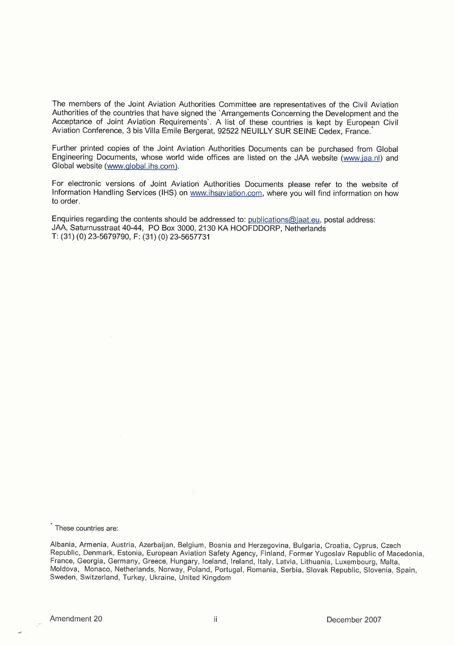The members of the Joint Aviation Authorities Committee are representatives of the Civil Aviation Authorities of the countries that have signed the 'Arrangements Concerning the Development and the Acceptance of Joint Aviation Requirements'. A list of these countries is kept by European Civil Aviation Conference, 3 bis Villa Emile Bergerat, 92522 NEUILLY SUR SEINE Cedex, France.

Further printed copies of the Joint Aviation Authorities Documents can be purchased from Global Engineering Documents, whose world wide offices are listed on the JAA website (www.iaa.nl) and Global website (www.alobal.ihs.com).

For electronic versions of Joint Aviation Authorities Documents please refer to the website of Information Handling Services (IHS) on www.ihsaviation.com, where you will find information on how to order.

Enquiries regarding the contents should be addressed to: publications@iaat.eu, postal address: JAA, Saturnusstraat 40-44, PO Box 3000, 2130 **KA** HOOFDDORP, Netherlands T: (31) (0) 23-5679790, F: (31) (0) 23-5657731

These countries are:

Albania, Armenia, Austria, Azerbaijan, Belgium, Bosnia and Herzegovina, Bulgaria, Croatia, Cyprus, Czech Republic, Denmark, Estonia, European Aviation Safety Agency, Finland, Former Yugoslav Republic of Macedonia, France, Georgia, Germany, Greece, Hungary, Iceland, Ireland, Italy, Latvia, Lithuania, Luxembourg, Malta, Moldova, Monaco, Netherlands, Norway, Poland, Portugal, Romania, Serbia, Slovak Republic, Slovenia, Spain, Sweden, Switzerland, Turkey, Ukraine, United Kingdom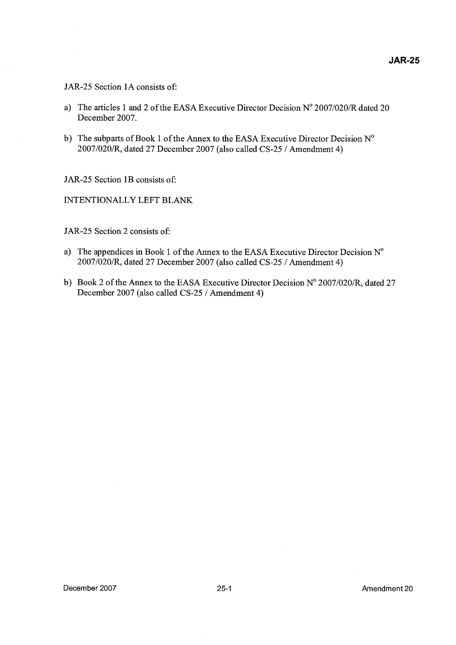#### JAR-25 Section 1A consists of:

- a) The articles 1 and 2 of the EASA Executive Director Decision  $N^{\circ}$  2007/020/R dated 20 December 2007.
- b) The subparts of Book 1 of the Annex to the EASA Executive Director Decision  $N^{\circ}$ 2007/020/R, dated 27 December 2007 (also called CS-25 / Amendment 4)

JAR-25 Section 1B consists of:

INTENTIONALLY LEFT BLANK

JAR-25 Section 2 consists of:

- a) The appendices in Book 1 of the Annex to the EASA Executive Director Decision  $N^{\circ}$ 2007/020/R, dated 27 December 2007 (also called CS-25 / Amendment 4)
- b) Book 2 of the Annex to the EASA Executive Director Decision  $N^{\circ}$  2007/020/R, dated 27 December 2007 (also called CS-25 / Amendment 4)